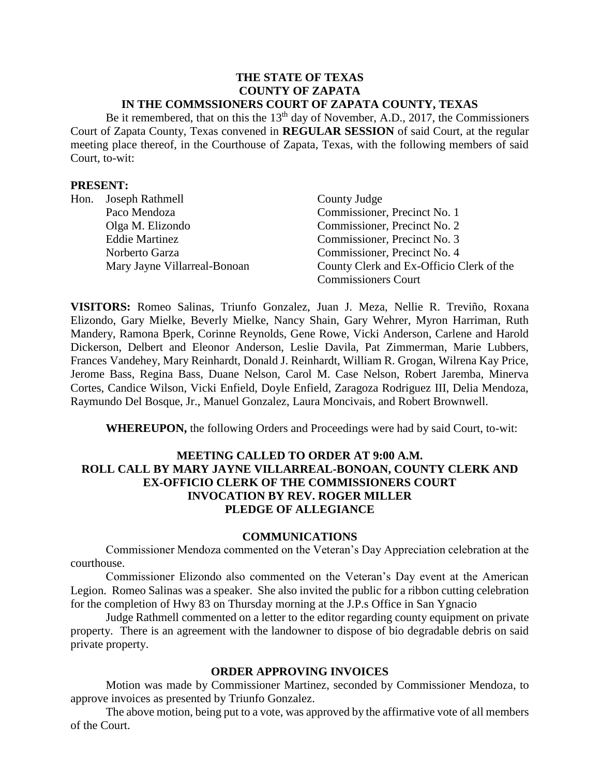#### **THE STATE OF TEXAS COUNTY OF ZAPATA IN THE COMMSSIONERS COURT OF ZAPATA COUNTY, TEXAS**

Be it remembered, that on this the  $13<sup>th</sup>$  day of November, A.D., 2017, the Commissioners Court of Zapata County, Texas convened in **REGULAR SESSION** of said Court, at the regular meeting place thereof, in the Courthouse of Zapata, Texas, with the following members of said Court, to-wit:

#### **PRESENT:**

| Hon. Joseph Rathmell         | County Judge                             |  |
|------------------------------|------------------------------------------|--|
| Paco Mendoza                 | Commissioner, Precinct No. 1             |  |
| Olga M. Elizondo             | Commissioner, Precinct No. 2             |  |
| <b>Eddie Martinez</b>        | Commissioner, Precinct No. 3             |  |
| Norberto Garza               | Commissioner, Precinct No. 4             |  |
| Mary Jayne Villarreal-Bonoan | County Clerk and Ex-Officio Clerk of the |  |
|                              | <b>Commissioners Court</b>               |  |

**VISITORS:** Romeo Salinas, Triunfo Gonzalez, Juan J. Meza, Nellie R. Treviño, Roxana Elizondo, Gary Mielke, Beverly Mielke, Nancy Shain, Gary Wehrer, Myron Harriman, Ruth Mandery, Ramona Bperk, Corinne Reynolds, Gene Rowe, Vicki Anderson, Carlene and Harold Dickerson, Delbert and Eleonor Anderson, Leslie Davila, Pat Zimmerman, Marie Lubbers, Frances Vandehey, Mary Reinhardt, Donald J. Reinhardt, William R. Grogan, Wilrena Kay Price, Jerome Bass, Regina Bass, Duane Nelson, Carol M. Case Nelson, Robert Jaremba, Minerva Cortes, Candice Wilson, Vicki Enfield, Doyle Enfield, Zaragoza Rodriguez III, Delia Mendoza, Raymundo Del Bosque, Jr., Manuel Gonzalez, Laura Moncivais, and Robert Brownwell.

**WHEREUPON,** the following Orders and Proceedings were had by said Court, to-wit:

## **MEETING CALLED TO ORDER AT 9:00 A.M. ROLL CALL BY MARY JAYNE VILLARREAL-BONOAN, COUNTY CLERK AND EX-OFFICIO CLERK OF THE COMMISSIONERS COURT INVOCATION BY REV. ROGER MILLER PLEDGE OF ALLEGIANCE**

#### **COMMUNICATIONS**

Commissioner Mendoza commented on the Veteran's Day Appreciation celebration at the courthouse.

Commissioner Elizondo also commented on the Veteran's Day event at the American Legion. Romeo Salinas was a speaker. She also invited the public for a ribbon cutting celebration for the completion of Hwy 83 on Thursday morning at the J.P.s Office in San Ygnacio

Judge Rathmell commented on a letter to the editor regarding county equipment on private property. There is an agreement with the landowner to dispose of bio degradable debris on said private property.

#### **ORDER APPROVING INVOICES**

Motion was made by Commissioner Martinez, seconded by Commissioner Mendoza, to approve invoices as presented by Triunfo Gonzalez.

The above motion, being put to a vote, was approved by the affirmative vote of all members of the Court.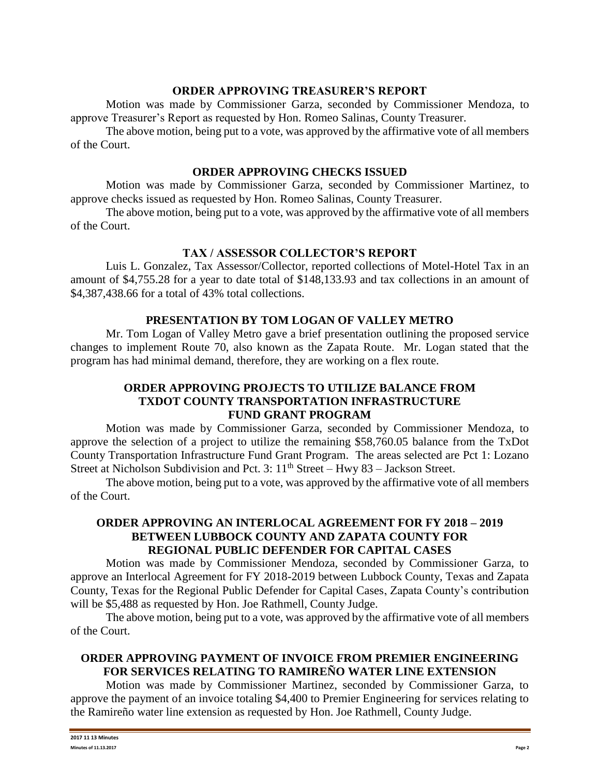#### **ORDER APPROVING TREASURER'S REPORT**

Motion was made by Commissioner Garza, seconded by Commissioner Mendoza, to approve Treasurer's Report as requested by Hon. Romeo Salinas, County Treasurer.

The above motion, being put to a vote, was approved by the affirmative vote of all members of the Court.

#### **ORDER APPROVING CHECKS ISSUED**

Motion was made by Commissioner Garza, seconded by Commissioner Martinez, to approve checks issued as requested by Hon. Romeo Salinas, County Treasurer.

The above motion, being put to a vote, was approved by the affirmative vote of all members of the Court.

#### **TAX / ASSESSOR COLLECTOR'S REPORT**

Luis L. Gonzalez, Tax Assessor/Collector, reported collections of Motel-Hotel Tax in an amount of \$4,755.28 for a year to date total of \$148,133.93 and tax collections in an amount of \$4,387,438.66 for a total of 43% total collections.

#### **PRESENTATION BY TOM LOGAN OF VALLEY METRO**

Mr. Tom Logan of Valley Metro gave a brief presentation outlining the proposed service changes to implement Route 70, also known as the Zapata Route. Mr. Logan stated that the program has had minimal demand, therefore, they are working on a flex route.

## **ORDER APPROVING PROJECTS TO UTILIZE BALANCE FROM TXDOT COUNTY TRANSPORTATION INFRASTRUCTURE FUND GRANT PROGRAM**

Motion was made by Commissioner Garza, seconded by Commissioner Mendoza, to approve the selection of a project to utilize the remaining \$58,760.05 balance from the TxDot County Transportation Infrastructure Fund Grant Program. The areas selected are Pct 1: Lozano Street at Nicholson Subdivision and Pct. 3:  $11<sup>th</sup>$  Street – Hwy 83 – Jackson Street.

The above motion, being put to a vote, was approved by the affirmative vote of all members of the Court.

## **ORDER APPROVING AN INTERLOCAL AGREEMENT FOR FY 2018 – 2019 BETWEEN LUBBOCK COUNTY AND ZAPATA COUNTY FOR REGIONAL PUBLIC DEFENDER FOR CAPITAL CASES**

Motion was made by Commissioner Mendoza, seconded by Commissioner Garza, to approve an Interlocal Agreement for FY 2018-2019 between Lubbock County, Texas and Zapata County, Texas for the Regional Public Defender for Capital Cases, Zapata County's contribution will be \$5,488 as requested by Hon. Joe Rathmell, County Judge.

The above motion, being put to a vote, was approved by the affirmative vote of all members of the Court.

## **ORDER APPROVING PAYMENT OF INVOICE FROM PREMIER ENGINEERING FOR SERVICES RELATING TO RAMIREÑO WATER LINE EXTENSION**

Motion was made by Commissioner Martinez, seconded by Commissioner Garza, to approve the payment of an invoice totaling \$4,400 to Premier Engineering for services relating to the Ramireño water line extension as requested by Hon. Joe Rathmell, County Judge.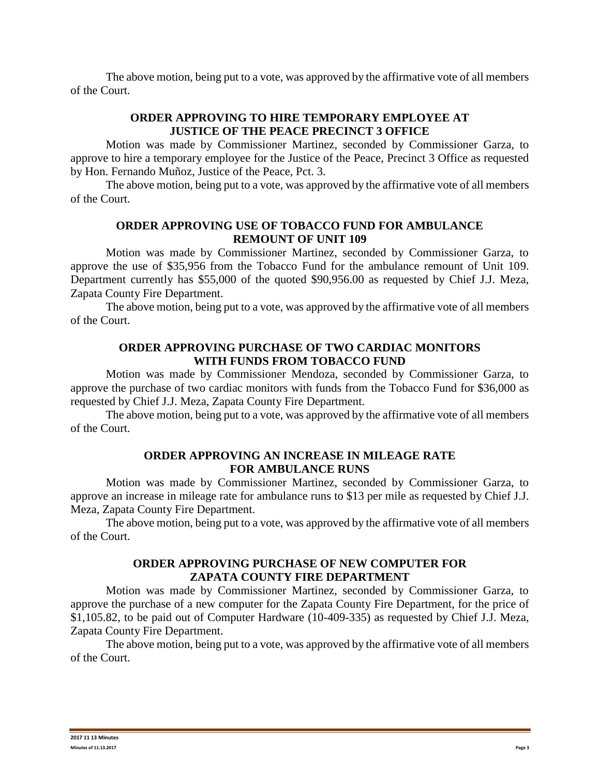The above motion, being put to a vote, was approved by the affirmative vote of all members of the Court.

## **ORDER APPROVING TO HIRE TEMPORARY EMPLOYEE AT JUSTICE OF THE PEACE PRECINCT 3 OFFICE**

Motion was made by Commissioner Martinez, seconded by Commissioner Garza, to approve to hire a temporary employee for the Justice of the Peace, Precinct 3 Office as requested by Hon. Fernando Muñoz, Justice of the Peace, Pct. 3.

The above motion, being put to a vote, was approved by the affirmative vote of all members of the Court.

## **ORDER APPROVING USE OF TOBACCO FUND FOR AMBULANCE REMOUNT OF UNIT 109**

Motion was made by Commissioner Martinez, seconded by Commissioner Garza, to approve the use of \$35,956 from the Tobacco Fund for the ambulance remount of Unit 109. Department currently has \$55,000 of the quoted \$90,956.00 as requested by Chief J.J. Meza, Zapata County Fire Department.

The above motion, being put to a vote, was approved by the affirmative vote of all members of the Court.

### **ORDER APPROVING PURCHASE OF TWO CARDIAC MONITORS WITH FUNDS FROM TOBACCO FUND**

Motion was made by Commissioner Mendoza, seconded by Commissioner Garza, to approve the purchase of two cardiac monitors with funds from the Tobacco Fund for \$36,000 as requested by Chief J.J. Meza, Zapata County Fire Department.

The above motion, being put to a vote, was approved by the affirmative vote of all members of the Court.

### **ORDER APPROVING AN INCREASE IN MILEAGE RATE FOR AMBULANCE RUNS**

Motion was made by Commissioner Martinez, seconded by Commissioner Garza, to approve an increase in mileage rate for ambulance runs to \$13 per mile as requested by Chief J.J. Meza, Zapata County Fire Department.

The above motion, being put to a vote, was approved by the affirmative vote of all members of the Court.

## **ORDER APPROVING PURCHASE OF NEW COMPUTER FOR ZAPATA COUNTY FIRE DEPARTMENT**

Motion was made by Commissioner Martinez, seconded by Commissioner Garza, to approve the purchase of a new computer for the Zapata County Fire Department, for the price of \$1,105.82, to be paid out of Computer Hardware (10-409-335) as requested by Chief J.J. Meza, Zapata County Fire Department.

The above motion, being put to a vote, was approved by the affirmative vote of all members of the Court.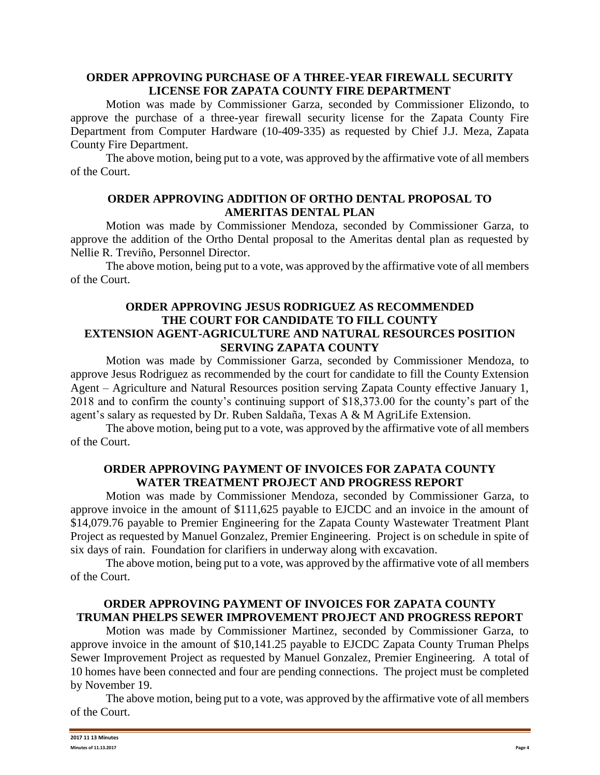#### **ORDER APPROVING PURCHASE OF A THREE-YEAR FIREWALL SECURITY LICENSE FOR ZAPATA COUNTY FIRE DEPARTMENT**

Motion was made by Commissioner Garza, seconded by Commissioner Elizondo, to approve the purchase of a three-year firewall security license for the Zapata County Fire Department from Computer Hardware (10-409-335) as requested by Chief J.J. Meza, Zapata County Fire Department.

The above motion, being put to a vote, was approved by the affirmative vote of all members of the Court.

## **ORDER APPROVING ADDITION OF ORTHO DENTAL PROPOSAL TO AMERITAS DENTAL PLAN**

Motion was made by Commissioner Mendoza, seconded by Commissioner Garza, to approve the addition of the Ortho Dental proposal to the Ameritas dental plan as requested by Nellie R. Treviño, Personnel Director.

The above motion, being put to a vote, was approved by the affirmative vote of all members of the Court.

## **ORDER APPROVING JESUS RODRIGUEZ AS RECOMMENDED THE COURT FOR CANDIDATE TO FILL COUNTY EXTENSION AGENT-AGRICULTURE AND NATURAL RESOURCES POSITION SERVING ZAPATA COUNTY**

Motion was made by Commissioner Garza, seconded by Commissioner Mendoza, to approve Jesus Rodriguez as recommended by the court for candidate to fill the County Extension Agent – Agriculture and Natural Resources position serving Zapata County effective January 1, 2018 and to confirm the county's continuing support of \$18,373.00 for the county's part of the agent's salary as requested by Dr. Ruben Saldaña, Texas A & M AgriLife Extension.

The above motion, being put to a vote, was approved by the affirmative vote of all members of the Court.

### **ORDER APPROVING PAYMENT OF INVOICES FOR ZAPATA COUNTY WATER TREATMENT PROJECT AND PROGRESS REPORT**

Motion was made by Commissioner Mendoza, seconded by Commissioner Garza, to approve invoice in the amount of \$111,625 payable to EJCDC and an invoice in the amount of \$14,079.76 payable to Premier Engineering for the Zapata County Wastewater Treatment Plant Project as requested by Manuel Gonzalez, Premier Engineering. Project is on schedule in spite of six days of rain. Foundation for clarifiers in underway along with excavation.

The above motion, being put to a vote, was approved by the affirmative vote of all members of the Court.

## **ORDER APPROVING PAYMENT OF INVOICES FOR ZAPATA COUNTY TRUMAN PHELPS SEWER IMPROVEMENT PROJECT AND PROGRESS REPORT**

Motion was made by Commissioner Martinez, seconded by Commissioner Garza, to approve invoice in the amount of \$10,141.25 payable to EJCDC Zapata County Truman Phelps Sewer Improvement Project as requested by Manuel Gonzalez, Premier Engineering. A total of 10 homes have been connected and four are pending connections. The project must be completed by November 19.

The above motion, being put to a vote, was approved by the affirmative vote of all members of the Court.

| 2017 11 13 Minutes<br>.      |        |
|------------------------------|--------|
| <b>Minutes of 11.13.2017</b> | Page 4 |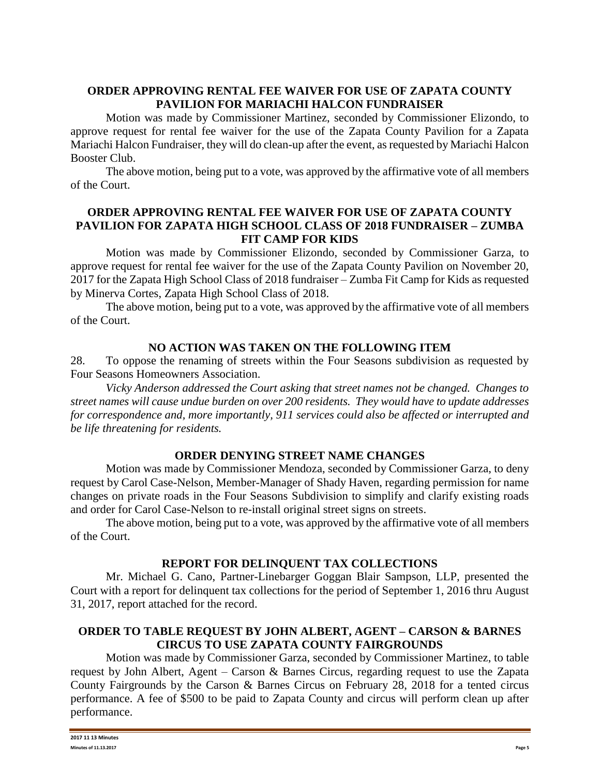# **ORDER APPROVING RENTAL FEE WAIVER FOR USE OF ZAPATA COUNTY PAVILION FOR MARIACHI HALCON FUNDRAISER**

Motion was made by Commissioner Martinez, seconded by Commissioner Elizondo, to approve request for rental fee waiver for the use of the Zapata County Pavilion for a Zapata Mariachi Halcon Fundraiser, they will do clean-up after the event, as requested by Mariachi Halcon Booster Club.

The above motion, being put to a vote, was approved by the affirmative vote of all members of the Court.

### **ORDER APPROVING RENTAL FEE WAIVER FOR USE OF ZAPATA COUNTY PAVILION FOR ZAPATA HIGH SCHOOL CLASS OF 2018 FUNDRAISER – ZUMBA FIT CAMP FOR KIDS**

Motion was made by Commissioner Elizondo, seconded by Commissioner Garza, to approve request for rental fee waiver for the use of the Zapata County Pavilion on November 20, 2017 for the Zapata High School Class of 2018 fundraiser – Zumba Fit Camp for Kids as requested by Minerva Cortes, Zapata High School Class of 2018.

The above motion, being put to a vote, was approved by the affirmative vote of all members of the Court.

## **NO ACTION WAS TAKEN ON THE FOLLOWING ITEM**

28. To oppose the renaming of streets within the Four Seasons subdivision as requested by Four Seasons Homeowners Association.

*Vicky Anderson addressed the Court asking that street names not be changed. Changes to street names will cause undue burden on over 200 residents. They would have to update addresses for correspondence and, more importantly, 911 services could also be affected or interrupted and be life threatening for residents.*

## **ORDER DENYING STREET NAME CHANGES**

Motion was made by Commissioner Mendoza, seconded by Commissioner Garza, to deny request by Carol Case-Nelson, Member-Manager of Shady Haven, regarding permission for name changes on private roads in the Four Seasons Subdivision to simplify and clarify existing roads and order for Carol Case-Nelson to re-install original street signs on streets.

The above motion, being put to a vote, was approved by the affirmative vote of all members of the Court.

## **REPORT FOR DELINQUENT TAX COLLECTIONS**

Mr. Michael G. Cano, Partner-Linebarger Goggan Blair Sampson, LLP, presented the Court with a report for delinquent tax collections for the period of September 1, 2016 thru August 31, 2017, report attached for the record.

# **ORDER TO TABLE REQUEST BY JOHN ALBERT, AGENT – CARSON & BARNES CIRCUS TO USE ZAPATA COUNTY FAIRGROUNDS**

Motion was made by Commissioner Garza, seconded by Commissioner Martinez, to table request by John Albert, Agent – Carson & Barnes Circus, regarding request to use the Zapata County Fairgrounds by the Carson & Barnes Circus on February 28, 2018 for a tented circus performance. A fee of \$500 to be paid to Zapata County and circus will perform clean up after performance.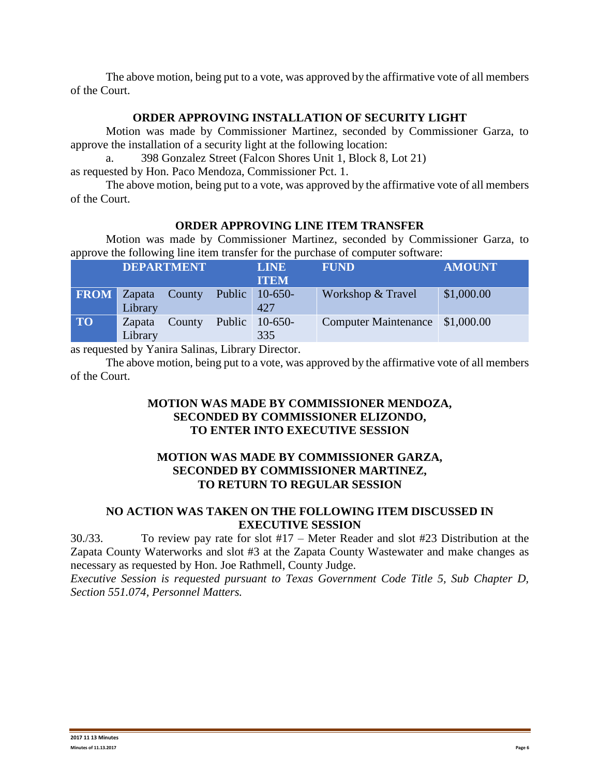The above motion, being put to a vote, was approved by the affirmative vote of all members of the Court.

#### **ORDER APPROVING INSTALLATION OF SECURITY LIGHT**

Motion was made by Commissioner Martinez, seconded by Commissioner Garza, to approve the installation of a security light at the following location:

a. 398 Gonzalez Street (Falcon Shores Unit 1, Block 8, Lot 21)

as requested by Hon. Paco Mendoza, Commissioner Pct. 1.

The above motion, being put to a vote, was approved by the affirmative vote of all members of the Court.

### **ORDER APPROVING LINE ITEM TRANSFER**

Motion was made by Commissioner Martinez, seconded by Commissioner Garza, to approve the following line item transfer for the purchase of computer software:

| . .         | <b>DEPARTMENT</b> |        |        | <b>LINE</b><br><b>ITEM</b> | <b>FUND</b>                      | <b>AMOUNT</b> |
|-------------|-------------------|--------|--------|----------------------------|----------------------------------|---------------|
| <b>FROM</b> | Zapata<br>Library | County | Public | $10-650-$<br>427           | Workshop & Travel                | \$1,000.00    |
| <b>TO</b>   | Zapata<br>Library | County | Public | $10-650-$<br>335           | Computer Maintenance \\$1,000.00 |               |

as requested by Yanira Salinas, Library Director.

The above motion, being put to a vote, was approved by the affirmative vote of all members of the Court.

## **MOTION WAS MADE BY COMMISSIONER MENDOZA, SECONDED BY COMMISSIONER ELIZONDO, TO ENTER INTO EXECUTIVE SESSION**

### **MOTION WAS MADE BY COMMISSIONER GARZA, SECONDED BY COMMISSIONER MARTINEZ, TO RETURN TO REGULAR SESSION**

## **NO ACTION WAS TAKEN ON THE FOLLOWING ITEM DISCUSSED IN EXECUTIVE SESSION**

30./33. To review pay rate for slot #17 – Meter Reader and slot #23 Distribution at the Zapata County Waterworks and slot #3 at the Zapata County Wastewater and make changes as necessary as requested by Hon. Joe Rathmell, County Judge.

*Executive Session is requested pursuant to Texas Government Code Title 5, Sub Chapter D, Section 551.074, Personnel Matters.*